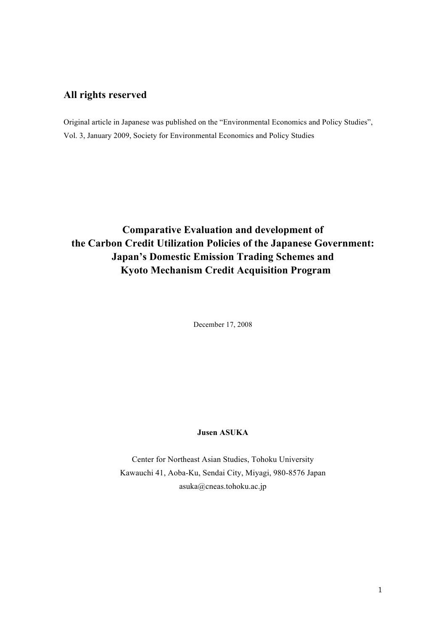## **All rights reserved**

Original article in Japanese was published on the "Environmental Economics and Policy Studies", Vol. 3, January 2009, Society for Environmental Economics and Policy Studies

# **Comparative Evaluation and development of the Carbon Credit Utilization Policies of the Japanese Government: Japan's Domestic Emission Trading Schemes and Kyoto Mechanism Credit Acquisition Program**

December 17, 2008

## **Jusen ASUKA**

Center for Northeast Asian Studies, Tohoku University Kawauchi 41, Aoba-Ku, Sendai City, Miyagi, 980-8576 Japan asuka@cneas.tohoku.ac.jp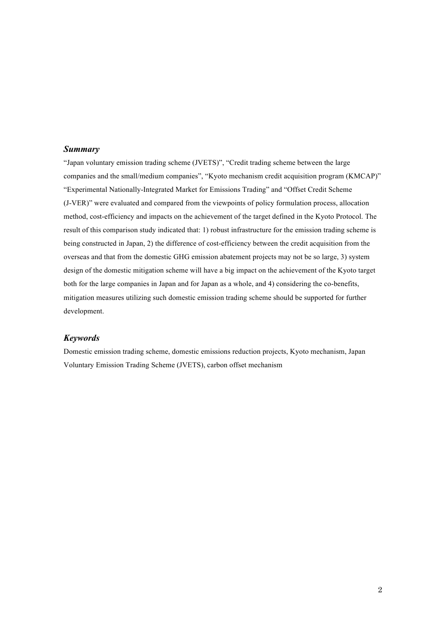#### *Summary*

"Japan voluntary emission trading scheme (JVETS)", "Credit trading scheme between the large companies and the small/medium companies", "Kyoto mechanism credit acquisition program (KMCAP)" "Experimental Nationally-Integrated Market for Emissions Trading" and "Offset Credit Scheme (J-VER)" were evaluated and compared from the viewpoints of policy formulation process, allocation method, cost-efficiency and impacts on the achievement of the target defined in the Kyoto Protocol. The result of this comparison study indicated that: 1) robust infrastructure for the emission trading scheme is being constructed in Japan, 2) the difference of cost-efficiency between the credit acquisition from the overseas and that from the domestic GHG emission abatement projects may not be so large, 3) system design of the domestic mitigation scheme will have a big impact on the achievement of the Kyoto target both for the large companies in Japan and for Japan as a whole, and 4) considering the co-benefits, mitigation measures utilizing such domestic emission trading scheme should be supported for further development.

### *Keywords*

Domestic emission trading scheme, domestic emissions reduction projects, Kyoto mechanism, Japan Voluntary Emission Trading Scheme (JVETS), carbon offset mechanism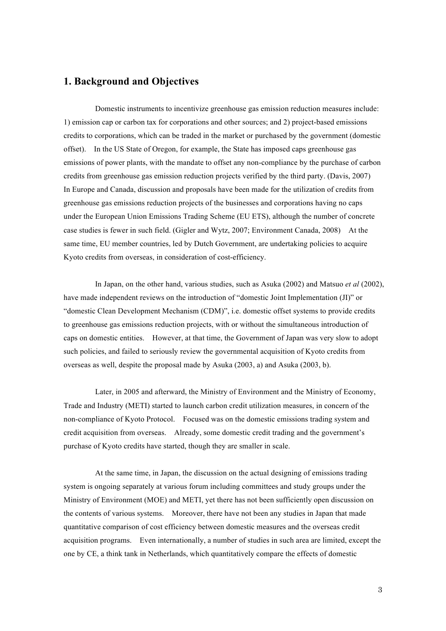## **1. Background and Objectives**

Domestic instruments to incentivize greenhouse gas emission reduction measures include: 1) emission cap or carbon tax for corporations and other sources; and 2) project-based emissions credits to corporations, which can be traded in the market or purchased by the government (domestic offset). In the US State of Oregon, for example, the State has imposed caps greenhouse gas emissions of power plants, with the mandate to offset any non-compliance by the purchase of carbon credits from greenhouse gas emission reduction projects verified by the third party. (Davis, 2007) In Europe and Canada, discussion and proposals have been made for the utilization of credits from greenhouse gas emissions reduction projects of the businesses and corporations having no caps under the European Union Emissions Trading Scheme (EU ETS), although the number of concrete case studies is fewer in such field. (Gigler and Wytz, 2007; Environment Canada, 2008) At the same time, EU member countries, led by Dutch Government, are undertaking policies to acquire Kyoto credits from overseas, in consideration of cost-efficiency.

In Japan, on the other hand, various studies, such as Asuka (2002) and Matsuo *et al* (2002), have made independent reviews on the introduction of "domestic Joint Implementation (JI)" or "domestic Clean Development Mechanism (CDM)", i.e. domestic offset systems to provide credits to greenhouse gas emissions reduction projects, with or without the simultaneous introduction of caps on domestic entities. However, at that time, the Government of Japan was very slow to adopt such policies, and failed to seriously review the governmental acquisition of Kyoto credits from overseas as well, despite the proposal made by Asuka (2003, a) and Asuka (2003, b).

Later, in 2005 and afterward, the Ministry of Environment and the Ministry of Economy, Trade and Industry (METI) started to launch carbon credit utilization measures, in concern of the non-compliance of Kyoto Protocol. Focused was on the domestic emissions trading system and credit acquisition from overseas. Already, some domestic credit trading and the government's purchase of Kyoto credits have started, though they are smaller in scale.

At the same time, in Japan, the discussion on the actual designing of emissions trading system is ongoing separately at various forum including committees and study groups under the Ministry of Environment (MOE) and METI, yet there has not been sufficiently open discussion on the contents of various systems. Moreover, there have not been any studies in Japan that made quantitative comparison of cost efficiency between domestic measures and the overseas credit acquisition programs. Even internationally, a number of studies in such area are limited, except the one by CE, a think tank in Netherlands, which quantitatively compare the effects of domestic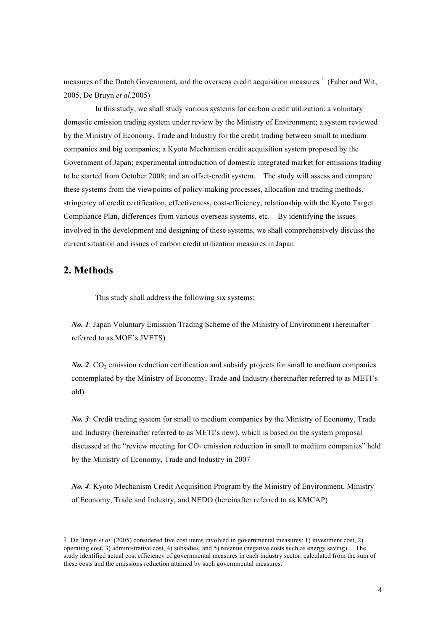measures of the Dutch Government, and the overseas credit acquisition measures.<sup>1</sup> (Faber and Wit, 2005, De Bruyn *et al*.2005)

In this study, we shall study various systems for carbon credit utilization: a voluntary domestic emission trading system under review by the Ministry of Environment; a system reviewed by the Ministry of Economy, Trade and Industry for the credit trading between small to medium companies and big companies; a Kyoto Mechanism credit acquisition system proposed by the Government of Japan; experimental introduction of domestic integrated market for emissions trading to be started from October 2008; and an offset-credit system. The study will assess and compare these systems from the viewpoints of policy-making processes, allocation and trading methods, stringency of credit certification, effectiveness, cost-efficiency, relationship with the Kyoto Target Compliance Plan, differences from various overseas systems, etc. By identifying the issues involved in the development and designing of these systems, we shall comprehensively discuss the current situation and issues of carbon credit utilization measures in Japan.

## **2. Methods**

 $\overline{a}$ 

This study shall address the following six systems:

*No. 1*: Japan Voluntary Emission Trading Scheme of the Ministry of Environment (hereinafter referred to as MOE's JVETS)

 $N_0$ . 2:  $CO_2$  emission reduction certification and subsidy projects for small to medium companies contemplated by the Ministry of Economy, Trade and Industry (hereinafter referred to as METI's old)

*No. 3*: Credit trading system for small to medium companies by the Ministry of Economy, Trade and Industry (hereinafter referred to as METI's new), which is based on the system proposal discussed at the "review meeting for  $CO<sub>2</sub>$  emission reduction in small to medium companies" held by the Ministry of Economy, Trade and Industry in 2007

*No. 4*: Kyoto Mechanism Credit Acquisition Program by the Ministry of Environment, Ministry of Economy, Trade and Industry, and NEDO (hereinafter referred to as KMCAP)

<sup>1</sup> De Bruyn *et al*. (2005) considered five cost items involved in governmental measures: 1) investment cost, 2) operating cost, 3) administrative cost, 4) subsidies, and 5) revenue (negative costs such as energy saving). The study identified actual cost efficiency of governmental measures in each industry sector, calculated from the sum of these costs and the emissions reduction attained by such governmental measures.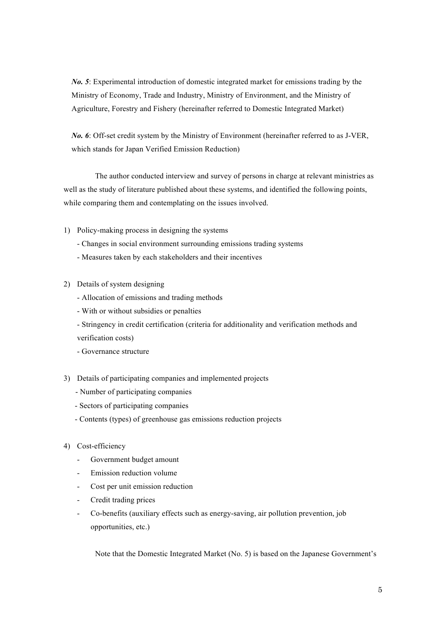*No. 5*: Experimental introduction of domestic integrated market for emissions trading by the Ministry of Economy, Trade and Industry, Ministry of Environment, and the Ministry of Agriculture, Forestry and Fishery (hereinafter referred to Domestic Integrated Market)

*No. 6*: Off-set credit system by the Ministry of Environment (hereinafter referred to as J-VER, which stands for Japan Verified Emission Reduction)

The author conducted interview and survey of persons in charge at relevant ministries as well as the study of literature published about these systems, and identified the following points, while comparing them and contemplating on the issues involved.

- 1) Policy-making process in designing the systems
	- Changes in social environment surrounding emissions trading systems
	- Measures taken by each stakeholders and their incentives
- 2) Details of system designing
	- Allocation of emissions and trading methods
	- With or without subsidies or penalties
	- Stringency in credit certification (criteria for additionality and verification methods and verification costs)
	- Governance structure
- 3) Details of participating companies and implemented projects
	- Number of participating companies
	- Sectors of participating companies
	- Contents (types) of greenhouse gas emissions reduction projects
- 4) Cost-efficiency
	- Government budget amount
	- Emission reduction volume
	- Cost per unit emission reduction
	- Credit trading prices
	- Co-benefits (auxiliary effects such as energy-saving, air pollution prevention, job opportunities, etc.)

Note that the Domestic Integrated Market (No. 5) is based on the Japanese Government's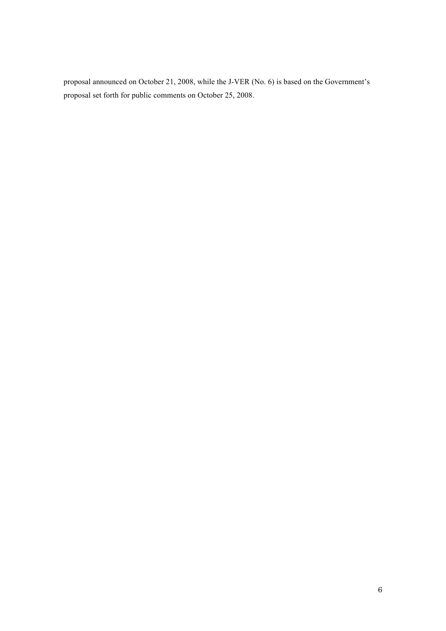proposal announced on October 21, 2008, while the J-VER (No. 6) is based on the Government's proposal set forth for public comments on October 25, 2008.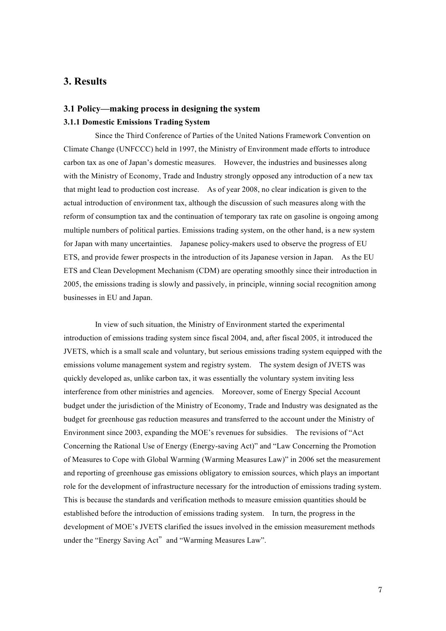## **3. Results**

## **3.1 Policy—making process in designing the system 3.1.1 Domestic Emissions Trading System**

Since the Third Conference of Parties of the United Nations Framework Convention on Climate Change (UNFCCC) held in 1997, the Ministry of Environment made efforts to introduce carbon tax as one of Japan's domestic measures. However, the industries and businesses along with the Ministry of Economy, Trade and Industry strongly opposed any introduction of a new tax that might lead to production cost increase. As of year 2008, no clear indication is given to the actual introduction of environment tax, although the discussion of such measures along with the reform of consumption tax and the continuation of temporary tax rate on gasoline is ongoing among multiple numbers of political parties. Emissions trading system, on the other hand, is a new system for Japan with many uncertainties. Japanese policy-makers used to observe the progress of EU ETS, and provide fewer prospects in the introduction of its Japanese version in Japan. As the EU ETS and Clean Development Mechanism (CDM) are operating smoothly since their introduction in 2005, the emissions trading is slowly and passively, in principle, winning social recognition among businesses in EU and Japan.

In view of such situation, the Ministry of Environment started the experimental introduction of emissions trading system since fiscal 2004, and, after fiscal 2005, it introduced the JVETS, which is a small scale and voluntary, but serious emissions trading system equipped with the emissions volume management system and registry system. The system design of JVETS was quickly developed as, unlike carbon tax, it was essentially the voluntary system inviting less interference from other ministries and agencies. Moreover, some of Energy Special Account budget under the jurisdiction of the Ministry of Economy, Trade and Industry was designated as the budget for greenhouse gas reduction measures and transferred to the account under the Ministry of Environment since 2003, expanding the MOE's revenues for subsidies. The revisions of "Act Concerning the Rational Use of Energy (Energy-saving Act)" and "Law Concerning the Promotion of Measures to Cope with Global Warming (Warming Measures Law)" in 2006 set the measurement and reporting of greenhouse gas emissions obligatory to emission sources, which plays an important role for the development of infrastructure necessary for the introduction of emissions trading system. This is because the standards and verification methods to measure emission quantities should be established before the introduction of emissions trading system. In turn, the progress in the development of MOE's JVETS clarified the issues involved in the emission measurement methods under the "Energy Saving Act" and "Warming Measures Law".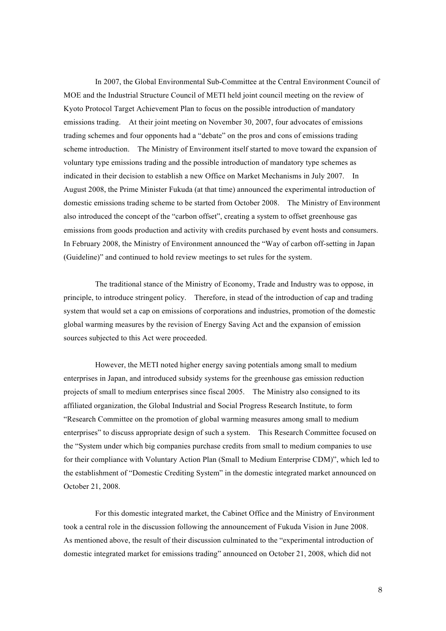In 2007, the Global Environmental Sub-Committee at the Central Environment Council of MOE and the Industrial Structure Council of METI held joint council meeting on the review of Kyoto Protocol Target Achievement Plan to focus on the possible introduction of mandatory emissions trading. At their joint meeting on November 30, 2007, four advocates of emissions trading schemes and four opponents had a "debate" on the pros and cons of emissions trading scheme introduction. The Ministry of Environment itself started to move toward the expansion of voluntary type emissions trading and the possible introduction of mandatory type schemes as indicated in their decision to establish a new Office on Market Mechanisms in July 2007. In August 2008, the Prime Minister Fukuda (at that time) announced the experimental introduction of domestic emissions trading scheme to be started from October 2008. The Ministry of Environment also introduced the concept of the "carbon offset", creating a system to offset greenhouse gas emissions from goods production and activity with credits purchased by event hosts and consumers. In February 2008, the Ministry of Environment announced the "Way of carbon off-setting in Japan (Guideline)" and continued to hold review meetings to set rules for the system.

The traditional stance of the Ministry of Economy, Trade and Industry was to oppose, in principle, to introduce stringent policy. Therefore, in stead of the introduction of cap and trading system that would set a cap on emissions of corporations and industries, promotion of the domestic global warming measures by the revision of Energy Saving Act and the expansion of emission sources subjected to this Act were proceeded.

However, the METI noted higher energy saving potentials among small to medium enterprises in Japan, and introduced subsidy systems for the greenhouse gas emission reduction projects of small to medium enterprises since fiscal 2005. The Ministry also consigned to its affiliated organization, the Global Industrial and Social Progress Research Institute, to form "Research Committee on the promotion of global warming measures among small to medium enterprises" to discuss appropriate design of such a system. This Research Committee focused on the "System under which big companies purchase credits from small to medium companies to use for their compliance with Voluntary Action Plan (Small to Medium Enterprise CDM)", which led to the establishment of "Domestic Crediting System" in the domestic integrated market announced on October 21, 2008.

For this domestic integrated market, the Cabinet Office and the Ministry of Environment took a central role in the discussion following the announcement of Fukuda Vision in June 2008. As mentioned above, the result of their discussion culminated to the "experimental introduction of domestic integrated market for emissions trading" announced on October 21, 2008, which did not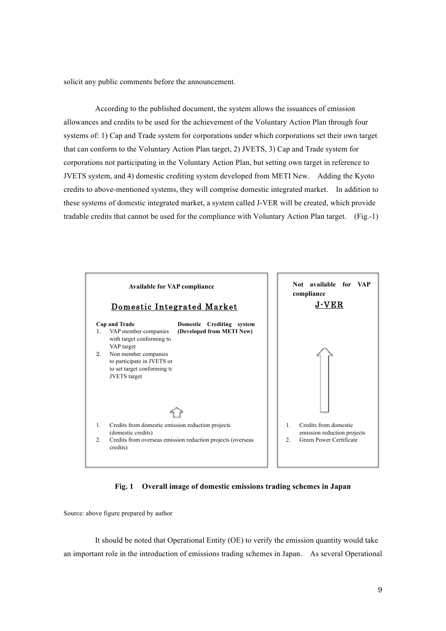solicit any public comments before the announcement.

According to the published document, the system allows the issuances of emission allowances and credits to be used for the achievement of the Voluntary Action Plan through four systems of: 1) Cap and Trade system for corporations under which corporations set their own target that can conform to the Voluntary Action Plan target, 2) JVETS, 3) Cap and Trade system for corporations not participating in the Voluntary Action Plan, but setting own target in reference to JVETS system, and 4) domestic crediting system developed from METI New. Adding the Kyoto credits to above-mentioned systems, they will comprise domestic integrated market. In addition to these systems of domestic integrated market, a system called J-VER will be created, which provide tradable credits that cannot be used for the compliance with Voluntary Action Plan target. (Fig.-1)



 **Fig. 1 Overall image of domestic emissions trading schemes in Japan**

Source: above figure prepared by author

It should be noted that Operational Entity (OE) to verify the emission quantity would take an important role in the introduction of emissions trading schemes in Japan. As several Operational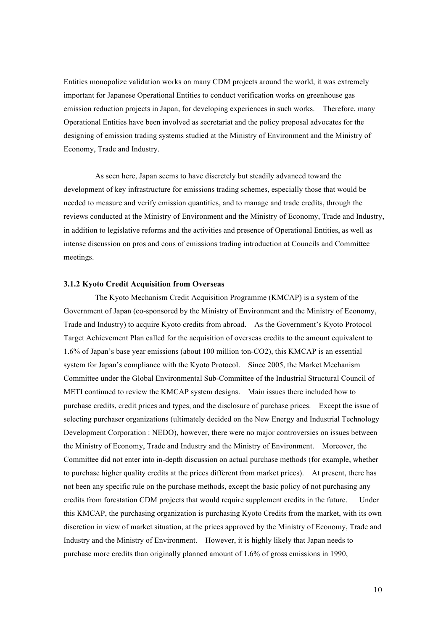Entities monopolize validation works on many CDM projects around the world, it was extremely important for Japanese Operational Entities to conduct verification works on greenhouse gas emission reduction projects in Japan, for developing experiences in such works. Therefore, many Operational Entities have been involved as secretariat and the policy proposal advocates for the designing of emission trading systems studied at the Ministry of Environment and the Ministry of Economy, Trade and Industry.

As seen here, Japan seems to have discretely but steadily advanced toward the development of key infrastructure for emissions trading schemes, especially those that would be needed to measure and verify emission quantities, and to manage and trade credits, through the reviews conducted at the Ministry of Environment and the Ministry of Economy, Trade and Industry, in addition to legislative reforms and the activities and presence of Operational Entities, as well as intense discussion on pros and cons of emissions trading introduction at Councils and Committee meetings.

## **3.1.2 Kyoto Credit Acquisition from Overseas**

The Kyoto Mechanism Credit Acquisition Programme (KMCAP) is a system of the Government of Japan (co-sponsored by the Ministry of Environment and the Ministry of Economy, Trade and Industry) to acquire Kyoto credits from abroad. As the Government's Kyoto Protocol Target Achievement Plan called for the acquisition of overseas credits to the amount equivalent to 1.6% of Japan's base year emissions (about 100 million ton-CO2), this KMCAP is an essential system for Japan's compliance with the Kyoto Protocol. Since 2005, the Market Mechanism Committee under the Global Environmental Sub-Committee of the Industrial Structural Council of METI continued to review the KMCAP system designs. Main issues there included how to purchase credits, credit prices and types, and the disclosure of purchase prices. Except the issue of selecting purchaser organizations (ultimately decided on the New Energy and Industrial Technology Development Corporation : NEDO), however, there were no major controversies on issues between the Ministry of Economy, Trade and Industry and the Ministry of Environment. Moreover, the Committee did not enter into in-depth discussion on actual purchase methods (for example, whether to purchase higher quality credits at the prices different from market prices). At present, there has not been any specific rule on the purchase methods, except the basic policy of not purchasing any credits from forestation CDM projects that would require supplement credits in the future. Under this KMCAP, the purchasing organization is purchasing Kyoto Credits from the market, with its own discretion in view of market situation, at the prices approved by the Ministry of Economy, Trade and Industry and the Ministry of Environment. However, it is highly likely that Japan needs to purchase more credits than originally planned amount of 1.6% of gross emissions in 1990,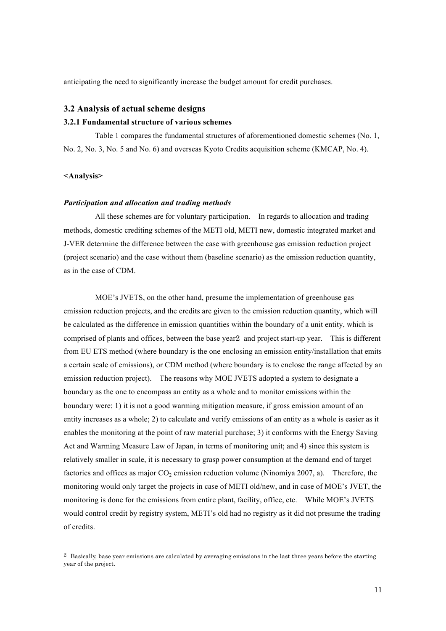anticipating the need to significantly increase the budget amount for credit purchases.

### **3.2 Analysis of actual scheme designs**

### **3.2.1 Fundamental structure of various schemes**

Table 1 compares the fundamental structures of aforementioned domestic schemes (No. 1, No. 2, No. 3, No. 5 and No. 6) and overseas Kyoto Credits acquisition scheme (KMCAP, No. 4).

### **<Analysis>**

 $\overline{a}$ 

#### *Participation and allocation and trading methods*

All these schemes are for voluntary participation. In regards to allocation and trading methods, domestic crediting schemes of the METI old, METI new, domestic integrated market and J-VER determine the difference between the case with greenhouse gas emission reduction project (project scenario) and the case without them (baseline scenario) as the emission reduction quantity, as in the case of CDM.

MOE's JVETS, on the other hand, presume the implementation of greenhouse gas emission reduction projects, and the credits are given to the emission reduction quantity, which will be calculated as the difference in emission quantities within the boundary of a unit entity, which is comprised of plants and offices, between the base year2 and project start-up year. This is different from EU ETS method (where boundary is the one enclosing an emission entity/installation that emits a certain scale of emissions), or CDM method (where boundary is to enclose the range affected by an emission reduction project). The reasons why MOE JVETS adopted a system to designate a boundary as the one to encompass an entity as a whole and to monitor emissions within the boundary were: 1) it is not a good warming mitigation measure, if gross emission amount of an entity increases as a whole; 2) to calculate and verify emissions of an entity as a whole is easier as it enables the monitoring at the point of raw material purchase; 3) it conforms with the Energy Saving Act and Warming Measure Law of Japan, in terms of monitoring unit; and 4) since this system is relatively smaller in scale, it is necessary to grasp power consumption at the demand end of target factories and offices as major  $CO<sub>2</sub>$  emission reduction volume (Ninomiya 2007, a). Therefore, the monitoring would only target the projects in case of METI old/new, and in case of MOE's JVET, the monitoring is done for the emissions from entire plant, facility, office, etc. While MOE's JVETS would control credit by registry system, METI's old had no registry as it did not presume the trading of credits.

<sup>2</sup> Basically, base year emissions are calculated by averaging emissions in the last three years before the starting year of the project.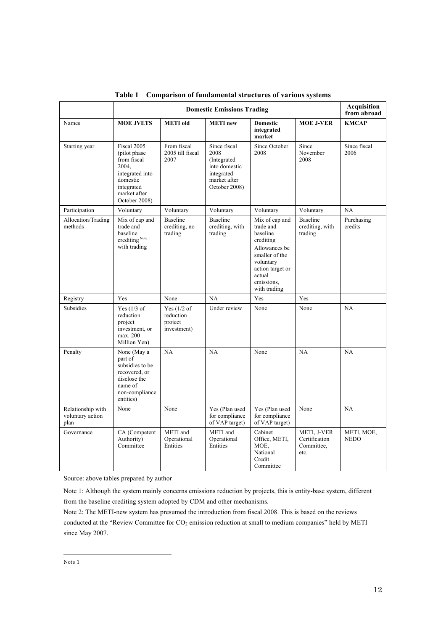|                                               | <b>Domestic Emissions Trading</b>                                                                                                  |                                                      |                                                                                                     |                                                                                                                                                                  |                                                    | Acquisition<br>from abroad |
|-----------------------------------------------|------------------------------------------------------------------------------------------------------------------------------------|------------------------------------------------------|-----------------------------------------------------------------------------------------------------|------------------------------------------------------------------------------------------------------------------------------------------------------------------|----------------------------------------------------|----------------------------|
| Names                                         | <b>MOE JVETS</b>                                                                                                                   | <b>METI</b> old                                      | <b>METI</b> new                                                                                     | <b>Domestic</b><br>integrated<br>market                                                                                                                          | <b>MOE J-VER</b>                                   | <b>KMCAP</b>               |
| Starting year                                 | Fiscal 2005<br>(pilot phase)<br>from fiscal<br>2004,<br>integrated into<br>domestic<br>integrated<br>market after<br>October 2008) | From fiscal<br>2005 till fiscal<br>2007              | Since fiscal<br>2008<br>(Integrated<br>into domestic<br>integrated<br>market after<br>October 2008) | Since October<br>2008                                                                                                                                            | Since<br>November<br>2008                          | Since fiscal<br>2006       |
| Participation                                 | Voluntary                                                                                                                          | Voluntary                                            | Voluntary                                                                                           | Voluntary                                                                                                                                                        | Voluntary                                          | NA                         |
| Allocation/Trading<br>methods                 | Mix of cap and<br>trade and<br>baseline<br>crediting Note 1<br>with trading                                                        | Baseline<br>crediting, no<br>trading                 | Baseline<br>crediting, with<br>trading                                                              | Mix of cap and<br>trade and<br>baseline<br>crediting<br>Allowances be<br>smaller of the<br>voluntary<br>action target or<br>actual<br>emissions.<br>with trading | <b>Baseline</b><br>crediting, with<br>trading      | Purchasing<br>credits      |
| Registry                                      | Yes                                                                                                                                | None                                                 | NA                                                                                                  | Yes                                                                                                                                                              | Yes                                                |                            |
| Subsidies                                     | Yes $(1/3$ of<br>reduction<br>project<br>investment, or<br>max. 200<br>Million Yen)                                                | Yes $(1/2$ of<br>reduction<br>project<br>investment) | Under review                                                                                        | None                                                                                                                                                             | None                                               | NA                         |
| Penalty                                       | None (May a<br>part of<br>subsidies to be<br>recovered, or<br>disclose the<br>name of<br>non-compliance<br>entities)               | NA                                                   | NA                                                                                                  | None                                                                                                                                                             | <b>NA</b>                                          | NA                         |
| Relationship with<br>voluntary action<br>plan | None                                                                                                                               | None                                                 | Yes (Plan used<br>for compliance<br>of VAP target)                                                  | Yes (Plan used<br>for compliance<br>of VAP target)                                                                                                               | None                                               | NA                         |
| Governance                                    | CA (Competent<br>Authority)<br>Committee                                                                                           | METI and<br>Operational<br>Entities                  | METI and<br>Operational<br>Entities                                                                 | Cabinet<br>Office, METI,<br>MOE,<br>National<br>Credit<br>Committee                                                                                              | METI, J-VER<br>Certification<br>Committee,<br>etc. | METI, MOE,<br><b>NEDO</b>  |

**Table 1 Comparison of fundamental structures of various systems**

Source: above tables prepared by author

Note 1: Although the system mainly concerns emissions reduction by projects, this is entity-base system, different from the baseline crediting system adopted by CDM and other mechanisms.

Note 2: The METI-new system has presumed the introduction from fiscal 2008. This is based on the reviews conducted at the "Review Committee for CO<sub>2</sub> emission reduction at small to medium companies" held by METI since May 2007.

Note 1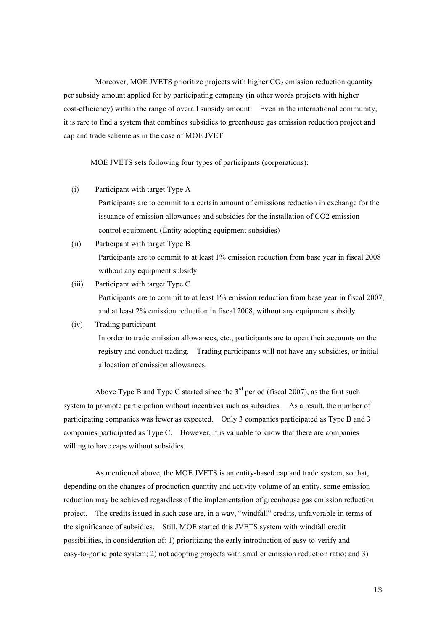Moreover, MOE JVETS prioritize projects with higher  $CO<sub>2</sub>$  emission reduction quantity per subsidy amount applied for by participating company (in other words projects with higher cost-efficiency) within the range of overall subsidy amount. Even in the international community, it is rare to find a system that combines subsidies to greenhouse gas emission reduction project and cap and trade scheme as in the case of MOE JVET.

MOE JVETS sets following four types of participants (corporations):

- (i) Participant with target Type A Participants are to commit to a certain amount of emissions reduction in exchange for the issuance of emission allowances and subsidies for the installation of CO2 emission control equipment. (Entity adopting equipment subsidies)
- (ii) Participant with target Type B Participants are to commit to at least 1% emission reduction from base year in fiscal 2008 without any equipment subsidy
- (iii) Participant with target Type C Participants are to commit to at least 1% emission reduction from base year in fiscal 2007, and at least 2% emission reduction in fiscal 2008, without any equipment subsidy

## (iv) Trading participant

In order to trade emission allowances, etc., participants are to open their accounts on the registry and conduct trading. Trading participants will not have any subsidies, or initial allocation of emission allowances.

Above Type B and Type C started since the  $3<sup>rd</sup>$  period (fiscal 2007), as the first such system to promote participation without incentives such as subsidies. As a result, the number of participating companies was fewer as expected. Only 3 companies participated as Type B and 3 companies participated as Type C. However, it is valuable to know that there are companies willing to have caps without subsidies.

As mentioned above, the MOE JVETS is an entity-based cap and trade system, so that, depending on the changes of production quantity and activity volume of an entity, some emission reduction may be achieved regardless of the implementation of greenhouse gas emission reduction project. The credits issued in such case are, in a way, "windfall" credits, unfavorable in terms of the significance of subsidies. Still, MOE started this JVETS system with windfall credit possibilities, in consideration of: 1) prioritizing the early introduction of easy-to-verify and easy-to-participate system; 2) not adopting projects with smaller emission reduction ratio; and 3)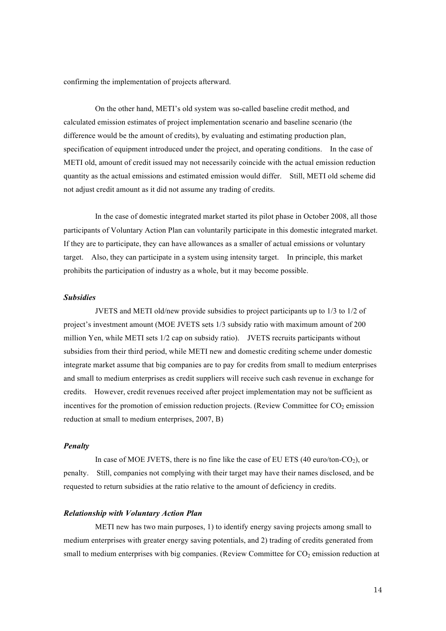confirming the implementation of projects afterward.

On the other hand, METI's old system was so-called baseline credit method, and calculated emission estimates of project implementation scenario and baseline scenario (the difference would be the amount of credits), by evaluating and estimating production plan, specification of equipment introduced under the project, and operating conditions. In the case of METI old, amount of credit issued may not necessarily coincide with the actual emission reduction quantity as the actual emissions and estimated emission would differ. Still, METI old scheme did not adjust credit amount as it did not assume any trading of credits.

In the case of domestic integrated market started its pilot phase in October 2008, all those participants of Voluntary Action Plan can voluntarily participate in this domestic integrated market. If they are to participate, they can have allowances as a smaller of actual emissions or voluntary target. Also, they can participate in a system using intensity target. In principle, this market prohibits the participation of industry as a whole, but it may become possible.

#### *Subsidies*

JVETS and METI old/new provide subsidies to project participants up to 1/3 to 1/2 of project's investment amount (MOE JVETS sets 1/3 subsidy ratio with maximum amount of 200 million Yen, while METI sets 1/2 cap on subsidy ratio). JVETS recruits participants without subsidies from their third period, while METI new and domestic crediting scheme under domestic integrate market assume that big companies are to pay for credits from small to medium enterprises and small to medium enterprises as credit suppliers will receive such cash revenue in exchange for credits. However, credit revenues received after project implementation may not be sufficient as incentives for the promotion of emission reduction projects. (Review Committee for  $CO<sub>2</sub>$  emission reduction at small to medium enterprises, 2007, B)

## *Penalty*

In case of MOE JVETS, there is no fine like the case of EU ETS  $(40 \text{ euro/ton-CO}_2)$ , or penalty. Still, companies not complying with their target may have their names disclosed, and be requested to return subsidies at the ratio relative to the amount of deficiency in credits.

### *Relationship with Voluntary Action Plan*

METI new has two main purposes, 1) to identify energy saving projects among small to medium enterprises with greater energy saving potentials, and 2) trading of credits generated from small to medium enterprises with big companies. (Review Committee for  $CO<sub>2</sub>$  emission reduction at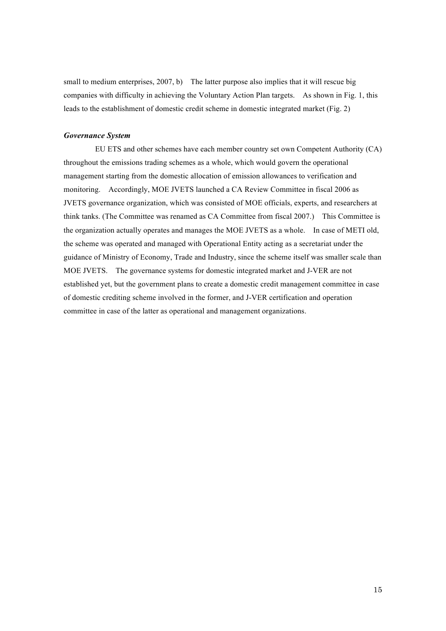small to medium enterprises, 2007, b) The latter purpose also implies that it will rescue big companies with difficulty in achieving the Voluntary Action Plan targets. As shown in Fig. 1, this leads to the establishment of domestic credit scheme in domestic integrated market (Fig. 2)

## *Governance System*

EU ETS and other schemes have each member country set own Competent Authority (CA) throughout the emissions trading schemes as a whole, which would govern the operational management starting from the domestic allocation of emission allowances to verification and monitoring. Accordingly, MOE JVETS launched a CA Review Committee in fiscal 2006 as JVETS governance organization, which was consisted of MOE officials, experts, and researchers at think tanks. (The Committee was renamed as CA Committee from fiscal 2007.) This Committee is the organization actually operates and manages the MOE JVETS as a whole. In case of METI old, the scheme was operated and managed with Operational Entity acting as a secretariat under the guidance of Ministry of Economy, Trade and Industry, since the scheme itself was smaller scale than MOE JVETS. The governance systems for domestic integrated market and J-VER are not established yet, but the government plans to create a domestic credit management committee in case of domestic crediting scheme involved in the former, and J-VER certification and operation committee in case of the latter as operational and management organizations.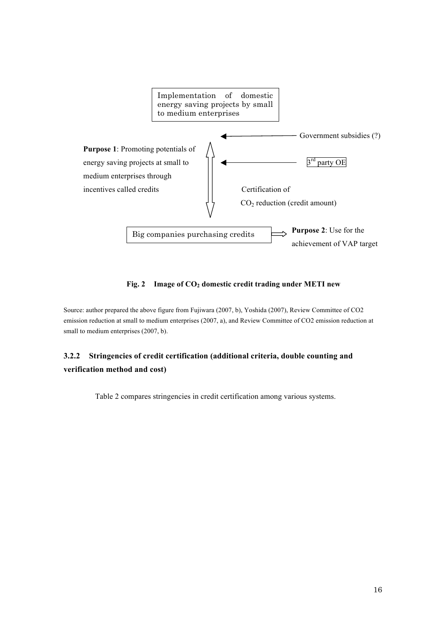

Fig. 2 Image of CO<sub>2</sub> domestic credit trading under METI new

Source: author prepared the above figure from Fujiwara (2007, b), Yoshida (2007), Review Committee of CO2 emission reduction at small to medium enterprises (2007, a), and Review Committee of CO2 emission reduction at small to medium enterprises (2007, b).

## **3.2.2 Stringencies of credit certification (additional criteria, double counting and verification method and cost)**

Table 2 compares stringencies in credit certification among various systems.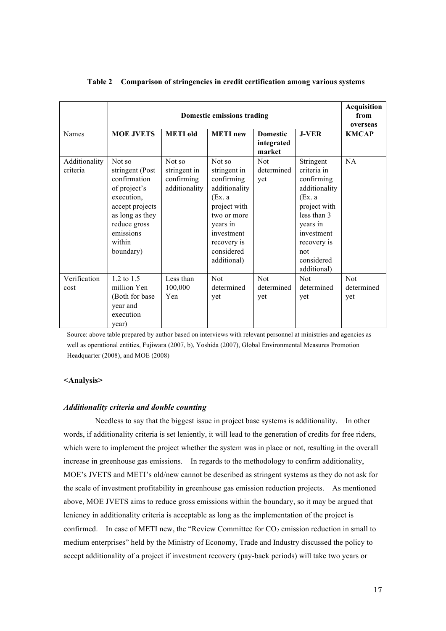|                           | <b>Domestic emissions trading</b>                                                                                                                                 |                                                       |                                                                                                                                                                      |                                         |                                                                                                                                                                               | <b>Acquisition</b><br>from<br>overseas |
|---------------------------|-------------------------------------------------------------------------------------------------------------------------------------------------------------------|-------------------------------------------------------|----------------------------------------------------------------------------------------------------------------------------------------------------------------------|-----------------------------------------|-------------------------------------------------------------------------------------------------------------------------------------------------------------------------------|----------------------------------------|
| <b>Names</b>              | <b>MOE JVETS</b>                                                                                                                                                  | <b>METI</b> old                                       | <b>METI</b> new                                                                                                                                                      | <b>Domestic</b><br>integrated<br>market | $J-VER$                                                                                                                                                                       | <b>KMCAP</b>                           |
| Additionality<br>criteria | Not so<br>stringent (Post<br>confirmation<br>of project's<br>execution,<br>accept projects<br>as long as they<br>reduce gross<br>emissions<br>within<br>boundary) | Not so<br>stringent in<br>confirming<br>additionality | Not so<br>stringent in<br>confirming<br>additionality<br>(EX. a<br>project with<br>two or more<br>years in<br>investment<br>recovery is<br>considered<br>additional) | Not<br>determined<br>yet                | Stringent<br>criteria in<br>confirming<br>additionality<br>(EX. a<br>project with<br>less than 3<br>years in<br>investment<br>recovery is<br>not<br>considered<br>additional) | NA                                     |
| Verification<br>cost      | $1.2 \text{ to } 1.5$<br>million Yen<br>(Both for base)<br>year and<br>execution<br>year)                                                                         | Less than<br>100,000<br>Yen                           | <b>Not</b><br>determined<br>yet                                                                                                                                      | <b>Not</b><br>determined<br>yet         | <b>Not</b><br>determined<br>yet                                                                                                                                               | <b>Not</b><br>determined<br>yet        |

## **Table 2 Comparison of stringencies in credit certification among various systems**

 Source: above table prepared by author based on interviews with relevant personnel at ministries and agencies as well as operational entities, Fujiwara (2007, b), Yoshida (2007), Global Environmental Measures Promotion Headquarter (2008), and MOE (2008)

### **<Analysis>**

## *Additionality criteria and double counting*

Needless to say that the biggest issue in project base systems is additionality. In other words, if additionality criteria is set leniently, it will lead to the generation of credits for free riders, which were to implement the project whether the system was in place or not, resulting in the overall increase in greenhouse gas emissions. In regards to the methodology to confirm additionality, MOE's JVETS and METI's old/new cannot be described as stringent systems as they do not ask for the scale of investment profitability in greenhouse gas emission reduction projects. As mentioned above, MOE JVETS aims to reduce gross emissions within the boundary, so it may be argued that leniency in additionality criteria is acceptable as long as the implementation of the project is confirmed. In case of METI new, the "Review Committee for  $CO<sub>2</sub>$  emission reduction in small to medium enterprises" held by the Ministry of Economy, Trade and Industry discussed the policy to accept additionality of a project if investment recovery (pay-back periods) will take two years or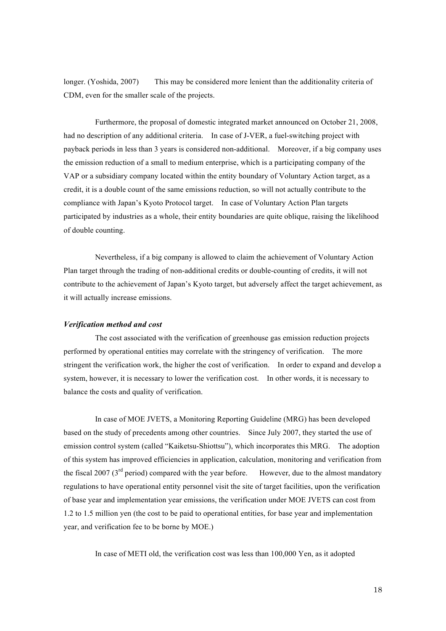longer. (Yoshida, 2007) This may be considered more lenient than the additionality criteria of CDM, even for the smaller scale of the projects.

Furthermore, the proposal of domestic integrated market announced on October 21, 2008, had no description of any additional criteria. In case of J-VER, a fuel-switching project with payback periods in less than 3 years is considered non-additional. Moreover, if a big company uses the emission reduction of a small to medium enterprise, which is a participating company of the VAP or a subsidiary company located within the entity boundary of Voluntary Action target, as a credit, it is a double count of the same emissions reduction, so will not actually contribute to the compliance with Japan's Kyoto Protocol target. In case of Voluntary Action Plan targets participated by industries as a whole, their entity boundaries are quite oblique, raising the likelihood of double counting.

Nevertheless, if a big company is allowed to claim the achievement of Voluntary Action Plan target through the trading of non-additional credits or double-counting of credits, it will not contribute to the achievement of Japan's Kyoto target, but adversely affect the target achievement, as it will actually increase emissions.

## *Verification method and cost*

The cost associated with the verification of greenhouse gas emission reduction projects performed by operational entities may correlate with the stringency of verification. The more stringent the verification work, the higher the cost of verification. In order to expand and develop a system, however, it is necessary to lower the verification cost. In other words, it is necessary to balance the costs and quality of verification.

In case of MOE JVETS, a Monitoring Reporting Guideline (MRG) has been developed based on the study of precedents among other countries. Since July 2007, they started the use of emission control system (called "Kaiketsu-Shiottsu"), which incorporates this MRG. The adoption of this system has improved efficiencies in application, calculation, monitoring and verification from the fiscal 2007 ( $3<sup>rd</sup>$  period) compared with the year before. However, due to the almost mandatory regulations to have operational entity personnel visit the site of target facilities, upon the verification of base year and implementation year emissions, the verification under MOE JVETS can cost from 1.2 to 1.5 million yen (the cost to be paid to operational entities, for base year and implementation year, and verification fee to be borne by MOE.)

In case of METI old, the verification cost was less than 100,000 Yen, as it adopted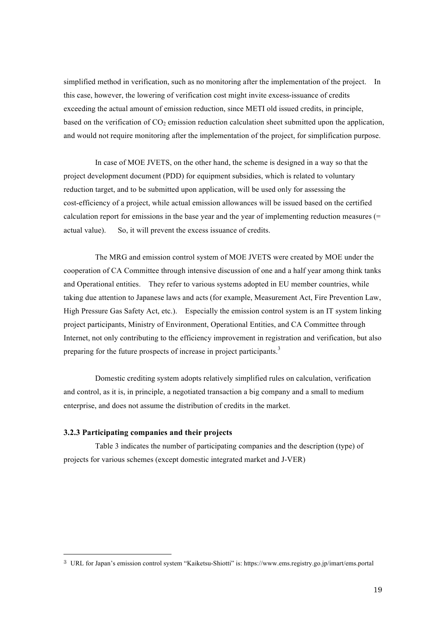simplified method in verification, such as no monitoring after the implementation of the project. In this case, however, the lowering of verification cost might invite excess-issuance of credits exceeding the actual amount of emission reduction, since METI old issued credits, in principle, based on the verification of  $CO<sub>2</sub>$  emission reduction calculation sheet submitted upon the application, and would not require monitoring after the implementation of the project, for simplification purpose.

In case of MOE JVETS, on the other hand, the scheme is designed in a way so that the project development document (PDD) for equipment subsidies, which is related to voluntary reduction target, and to be submitted upon application, will be used only for assessing the cost-efficiency of a project, while actual emission allowances will be issued based on the certified calculation report for emissions in the base year and the year of implementing reduction measures (= actual value). So, it will prevent the excess issuance of credits.

The MRG and emission control system of MOE JVETS were created by MOE under the cooperation of CA Committee through intensive discussion of one and a half year among think tanks and Operational entities. They refer to various systems adopted in EU member countries, while taking due attention to Japanese laws and acts (for example, Measurement Act, Fire Prevention Law, High Pressure Gas Safety Act, etc.). Especially the emission control system is an IT system linking project participants, Ministry of Environment, Operational Entities, and CA Committee through Internet, not only contributing to the efficiency improvement in registration and verification, but also preparing for the future prospects of increase in project participants.<sup>3</sup>

Domestic crediting system adopts relatively simplified rules on calculation, verification and control, as it is, in principle, a negotiated transaction a big company and a small to medium enterprise, and does not assume the distribution of credits in the market.

### **3.2.3 Participating companies and their projects**

Table 3 indicates the number of participating companies and the description (type) of projects for various schemes (except domestic integrated market and J-VER)

 <sup>3</sup> URL for Japan's emission control system "Kaiketsu-Shiotti" is: https://www.ems.registry.go.jp/imart/ems.portal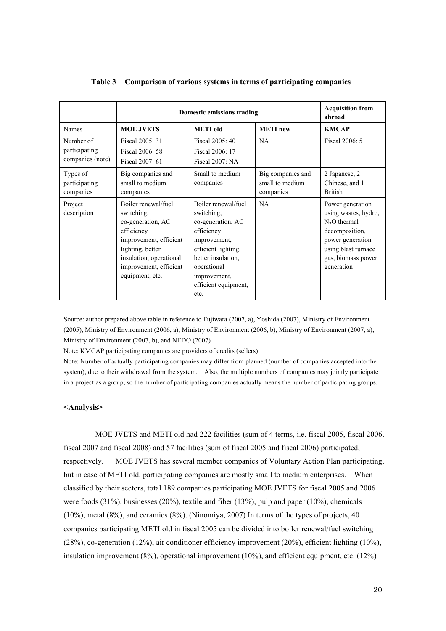|                                                | Domestic emissions trading                                                                                                                                                                 | <b>Acquisition from</b><br>abroad                                                                                                                                                                |                                                   |                                                                                                                                                            |
|------------------------------------------------|--------------------------------------------------------------------------------------------------------------------------------------------------------------------------------------------|--------------------------------------------------------------------------------------------------------------------------------------------------------------------------------------------------|---------------------------------------------------|------------------------------------------------------------------------------------------------------------------------------------------------------------|
| Names                                          | <b>MOE JVETS</b>                                                                                                                                                                           | <b>METI</b> old                                                                                                                                                                                  | <b>METI</b> new                                   | <b>KMCAP</b>                                                                                                                                               |
| Number of<br>participating<br>companies (note) | Fiscal 2005: 31<br>Fiscal 2006: 58<br>Fiscal 2007: 61                                                                                                                                      | Fiscal 2005: 40<br>Fiscal 2006: 17<br>Fiscal 2007: NA                                                                                                                                            | <b>NA</b>                                         | Fiscal 2006: 5                                                                                                                                             |
| Types of<br>participating<br>companies         | Big companies and<br>small to medium<br>companies                                                                                                                                          | Small to medium<br>companies                                                                                                                                                                     | Big companies and<br>small to medium<br>companies | 2 Japanese, 2<br>Chinese, and 1<br><b>British</b>                                                                                                          |
| Project<br>description                         | Boiler renewal/fuel<br>switching,<br>co-generation, AC<br>efficiency<br>improvement, efficient<br>lighting, better<br>insulation, operational<br>improvement, efficient<br>equipment, etc. | Boiler renewal/fuel<br>switching,<br>co-generation, AC<br>efficiency<br>improvement,<br>efficient lighting,<br>better insulation.<br>operational<br>improvement,<br>efficient equipment,<br>etc. | NA.                                               | Power generation<br>using wastes, hydro,<br>$N2O$ thermal<br>decomposition,<br>power generation<br>using blast furnace<br>gas, biomass power<br>generation |

### **Table 3 Comparison of various systems in terms of participating companies**

Source: author prepared above table in reference to Fujiwara (2007, a), Yoshida (2007), Ministry of Environment (2005), Ministry of Environment (2006, a), Ministry of Environment (2006, b), Ministry of Environment (2007, a), Ministry of Environment (2007, b), and NEDO (2007)

Note: KMCAP participating companies are providers of credits (sellers).

Note: Number of actually participating companies may differ from planned (number of companies accepted into the system), due to their withdrawal from the system. Also, the multiple numbers of companies may jointly participate in a project as a group, so the number of participating companies actually means the number of participating groups.

## **<Analysis>**

MOE JVETS and METI old had 222 facilities (sum of 4 terms, i.e. fiscal 2005, fiscal 2006, fiscal 2007 and fiscal 2008) and 57 facilities (sum of fiscal 2005 and fiscal 2006) participated, respectively. MOE JVETS has several member companies of Voluntary Action Plan participating, but in case of METI old, participating companies are mostly small to medium enterprises. When classified by their sectors, total 189 companies participating MOE JVETS for fiscal 2005 and 2006 were foods (31%), businesses (20%), textile and fiber (13%), pulp and paper (10%), chemicals (10%), metal (8%), and ceramics (8%). (Ninomiya, 2007) In terms of the types of projects, 40 companies participating METI old in fiscal 2005 can be divided into boiler renewal/fuel switching (28%), co-generation (12%), air conditioner efficiency improvement (20%), efficient lighting (10%), insulation improvement (8%), operational improvement (10%), and efficient equipment, etc. (12%)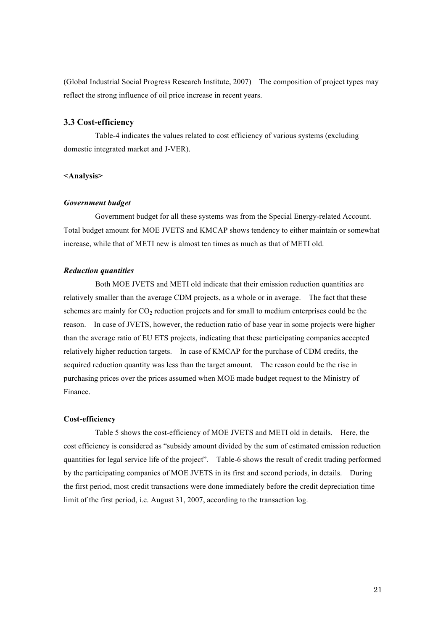(Global Industrial Social Progress Research Institute, 2007) The composition of project types may reflect the strong influence of oil price increase in recent years.

## **3.3 Cost-efficiency**

Table-4 indicates the values related to cost efficiency of various systems (excluding domestic integrated market and J-VER).

## **<Analysis>**

### *Government budget*

Government budget for all these systems was from the Special Energy-related Account. Total budget amount for MOE JVETS and KMCAP shows tendency to either maintain or somewhat increase, while that of METI new is almost ten times as much as that of METI old.

### *Reduction quantities*

Both MOE JVETS and METI old indicate that their emission reduction quantities are relatively smaller than the average CDM projects, as a whole or in average. The fact that these schemes are mainly for  $CO<sub>2</sub>$  reduction projects and for small to medium enterprises could be the reason. In case of JVETS, however, the reduction ratio of base year in some projects were higher than the average ratio of EU ETS projects, indicating that these participating companies accepted relatively higher reduction targets. In case of KMCAP for the purchase of CDM credits, the acquired reduction quantity was less than the target amount. The reason could be the rise in purchasing prices over the prices assumed when MOE made budget request to the Ministry of Finance.

#### **Cost-efficiency**

Table 5 shows the cost-efficiency of MOE JVETS and METI old in details. Here, the cost efficiency is considered as "subsidy amount divided by the sum of estimated emission reduction quantities for legal service life of the project". Table-6 shows the result of credit trading performed by the participating companies of MOE JVETS in its first and second periods, in details. During the first period, most credit transactions were done immediately before the credit depreciation time limit of the first period, i.e. August 31, 2007, according to the transaction log.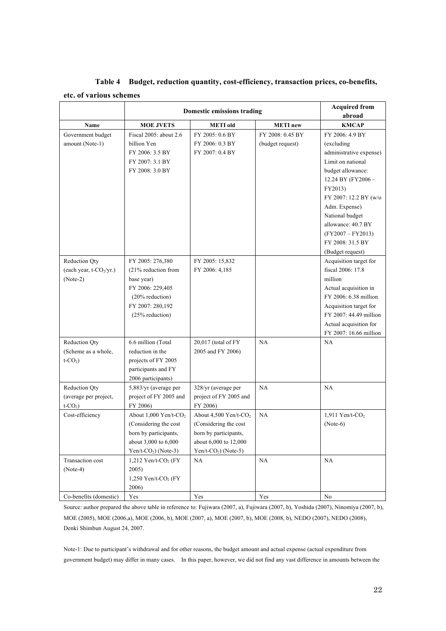|                                                                    | Domestic emissions trading                                                                                                               | <b>Acquired from</b><br>abroad                                                                                                       |                                                         |                                                                                                                                                                                                                  |
|--------------------------------------------------------------------|------------------------------------------------------------------------------------------------------------------------------------------|--------------------------------------------------------------------------------------------------------------------------------------|---------------------------------------------------------|------------------------------------------------------------------------------------------------------------------------------------------------------------------------------------------------------------------|
| Name                                                               |                                                                                                                                          |                                                                                                                                      |                                                         | <b>KMCAP</b>                                                                                                                                                                                                     |
| Government budget<br>amount (Note-1)                               | <b>MOE JVETS</b><br>Fiscal 2005: about 2.6<br>billion Yen<br>FY 2006: 3.5 BY<br>FY 2007: 3.1 BY<br>FY 2008: 3.0 BY                       | <b>METI</b> old<br>FY 2005: 0.6 BY<br>FY 2006: 0.3 BY<br>FY 2007: 0.4 BY                                                             | <b>METI</b> new<br>FY 2008: 0.45 BY<br>(budget request) | FY 2006: 4.9 BY<br>(excluding)<br>administrative expense)<br>Limit on national<br>budget allowance:<br>12.24 BY (FY2006 -<br>FY2013)<br>FY 2007: 12.2 BY (w/o<br>Adm. Expense)<br>National budget                |
|                                                                    |                                                                                                                                          |                                                                                                                                      |                                                         | allowance: 40.7 BY<br>$(FY2007 - FY2013)$<br>FY 2008: 31.5 BY<br>(Budget request)                                                                                                                                |
| Reduction Qty<br>(each year, t-CO <sub>2</sub> /yr.)<br>$(Note-2)$ | FY 2005: 276,380<br>(21% reduction from<br>base year)<br>FY 2006: 229,405<br>$(20\%$ reduction)<br>FY 2007: 280,192<br>$(25%$ reduction) | FY 2005: 15,832<br>FY 2006: 4,185                                                                                                    |                                                         | Acquisition target for<br>fiscal 2006: 17.8<br>million<br>Actual acquisition in<br>FY 2006: 6.38 million<br>Acquisition target for<br>FY 2007: 44.49 million<br>Actual acquisition for<br>FY 2007: 16.66 million |
| <b>Reduction Qty</b><br>(Scheme as a whole,<br>$t$ - $CO2$ )       | 6.6 million (Total<br>reduction in the<br>projects of FY 2005<br>participants and FY<br>2006 participants)                               | $20,017$ (total of FY<br>2005 and FY 2006)                                                                                           | NA                                                      | NA.                                                                                                                                                                                                              |
| Reduction Qty<br>(average per project,<br>$t$ -CO <sub>2</sub> )   | 5,883/yr (average per<br>project of FY 2005 and<br>FY 2006)                                                                              | 328/yr (average per<br>project of FY 2005 and<br>FY 2006)                                                                            | NA                                                      | NA                                                                                                                                                                                                               |
| Cost-efficiency                                                    | About 1,000 Yen/t-CO <sub>2</sub><br>(Considering the cost<br>born by participants,<br>about 3,000 to 6,000<br>Yen/t- $CO2$ ) (Note-3)   | About 4,500 Yen/t-CO <sub>2</sub><br>(Considering the cost<br>born by participants,<br>about 6,000 to 12,000<br>$Yen/t-CO2$ (Note-5) | NA                                                      | 1,911 Yen/t-CO <sub>2</sub><br>$(Note-6)$                                                                                                                                                                        |
| Transaction cost<br>$(Note-4)$                                     | 1,212 Yen/t-CO <sub>2</sub> (FY<br>2005)<br>1,250 Yen/t-CO <sub>2</sub> (FY<br>2006)                                                     | NA                                                                                                                                   | NA                                                      | NA                                                                                                                                                                                                               |
| Co-benefits (domestic)                                             | Yes                                                                                                                                      | Yes                                                                                                                                  | Yes                                                     | No                                                                                                                                                                                                               |

**Table 4 Budget, reduction quantity, cost-efficiency, transaction prices, co-benefits, etc. of various schemes**

Source: author prepared the above table in reference to: Fujiwara (2007, a), Fujiwara (2007, b), Yoshida (2007), Ninomiya (2007, b), MOE (2005), MOE (2006,a), MOE (2006, b), MOE (2007, a), MOE (2007, b), MOE (2008, b), NEDO (2007), NEDO (2008), Denki Shimbun August 24, 2007.

Note-1: Due to participant's withdrawal and for other reasons, the budget amount and actual expense (actual expenditure from government budget) may differ in many cases. In this paper, however, we did not find any vast difference in amounts between the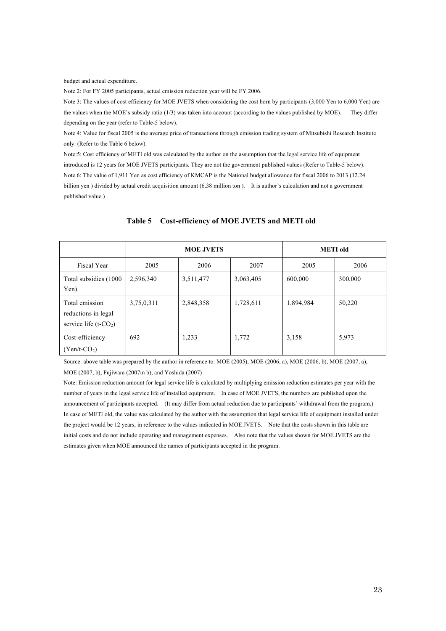budget and actual expenditure.

Note 2: For FY 2005 participants, actual emission reduction year will be FY 2006.

Note 3: The values of cost efficiency for MOE JVETS when considering the cost born by participants (3,000 Yen to 6,000 Yen) are the values when the MOE's subsidy ratio (1/3) was taken into account (according to the values published by MOE). They differ depending on the year (refer to Table-5 below).

Note 4: Value for fiscal 2005 is the average price of transactions through emission trading system of Mitsubishi Research Institute only. (Refer to the Table 6 below).

Note:5: Cost efficiency of METI old was calculated by the author on the assumption that the legal service life of equipment introduced is 12 years for MOE JVETS participants. They are not the government published values (Refer to Table-5 below). Note 6: The value of 1,911 Yen as cost efficiency of KMCAP is the National budget allowance for fiscal 2006 to 2013 (12.24 billion yen ) divided by actual credit acquisition amount (6.38 million ton ). It is author's calculation and not a government published value.)

|                                                                               |            | <b>MOE JVETS</b> | <b>METI</b> old |           |         |
|-------------------------------------------------------------------------------|------------|------------------|-----------------|-----------|---------|
| Fiscal Year                                                                   | 2005       | 2006             | 2007            | 2005      | 2006    |
| Total subsidies (1000)<br>Yen)                                                | 2,596,340  | 3,511,477        | 3,063,405       | 600,000   | 300,000 |
| Total emission<br>reductions in legal<br>service life $(t$ -CO <sub>2</sub> ) | 3,75,0,311 | 2,848,358        | 1,728,611       | 1,894,984 | 50,220  |
| Cost-efficiency<br>$(Yen/t-CO2)$                                              | 692        | 1,233            | 1,772           | 3,158     | 5,973   |

#### **Table 5 Cost-efficiency of MOE JVETS and METI old**

Source: above table was prepared by the author in reference to: MOE (2005), MOE (2006, a), MOE (2006, b), MOE (2007, a), MOE (2007, b), Fujiwara (2007m b), and Yoshida (2007)

Note: Emission reduction amount for legal service life is calculated by multiplying emission reduction estimates per year with the number of years in the legal service life of installed equipment. In case of MOE JVETS, the numbers are published upon the announcement of participants accepted. (It may differ from actual reduction due to participants' withdrawal from the program.) In case of METI old, the value was calculated by the author with the assumption that legal service life of equipment installed under the project would be 12 years, in reference to the values indicated in MOE JVETS. Note that the costs shown in this table are initial costs and do not include operating and management expenses. Also note that the values shown for MOE JVETS are the estimates given when MOE announced the names of participants accepted in the program.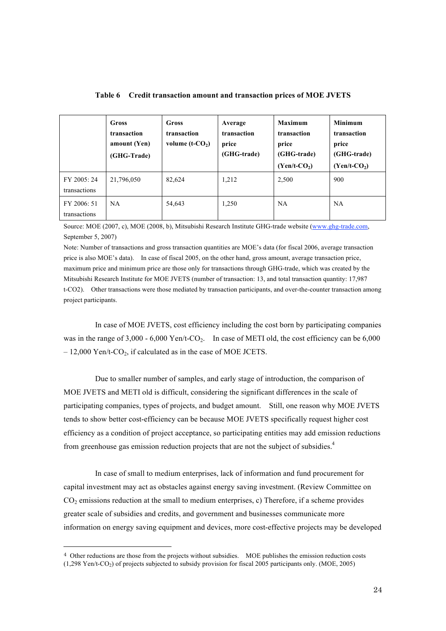|                             | <b>Gross</b><br>transaction<br>amount (Yen)<br>(GHG-Trade) | Gross<br>transaction<br>volume $(t$ - $CO2)$ | Average<br>transaction<br>price<br>(GHG-trade) | <b>Maximum</b><br>transaction<br>price<br>(GHG-trade)<br>$(Yen/t-CO2)$ | <b>Minimum</b><br>transaction<br>price<br>(GHG-trade)<br>$(Yen/t-CO2)$ |
|-----------------------------|------------------------------------------------------------|----------------------------------------------|------------------------------------------------|------------------------------------------------------------------------|------------------------------------------------------------------------|
| FY 2005: 24<br>transactions | 21,796,050                                                 | 82,624                                       | 1,212                                          | 2,500                                                                  | 900                                                                    |
| FY 2006: 51<br>transactions | <b>NA</b>                                                  | 54,643                                       | 1,250                                          | <b>NA</b>                                                              | <b>NA</b>                                                              |

**Table 6 Credit transaction amount and transaction prices of MOE JVETS**

Source: MOE (2007, c), MOE (2008, b), Mitsubishi Research Institute GHG-trade website (www.ghg-trade.com, September 5, 2007)

Note: Number of transactions and gross transaction quantities are MOE's data (for fiscal 2006, average transaction price is also MOE's data). In case of fiscal 2005, on the other hand, gross amount, average transaction price, maximum price and minimum price are those only for transactions through GHG-trade, which was created by the Mitsubishi Research Institute for MOE JVETS (number of transaction: 13, and total transaction quantity: 17,987 t-CO2). Other transactions were those mediated by transaction participants, and over-the-counter transaction among project participants.

In case of MOE JVETS, cost efficiency including the cost born by participating companies was in the range of 3,000 - 6,000 Yen/t-CO<sub>2</sub>. In case of METI old, the cost efficiency can be 6,000  $-12,000$  Yen/t-CO<sub>2</sub>, if calculated as in the case of MOE JCETS.

Due to smaller number of samples, and early stage of introduction, the comparison of MOE JVETS and METI old is difficult, considering the significant differences in the scale of participating companies, types of projects, and budget amount. Still, one reason why MOE JVETS tends to show better cost-efficiency can be because MOE JVETS specifically request higher cost efficiency as a condition of project acceptance, so participating entities may add emission reductions from greenhouse gas emission reduction projects that are not the subject of subsidies.<sup>4</sup>

In case of small to medium enterprises, lack of information and fund procurement for capital investment may act as obstacles against energy saving investment. (Review Committee on  $CO<sub>2</sub>$  emissions reduction at the small to medium enterprises, c) Therefore, if a scheme provides greater scale of subsidies and credits, and government and businesses communicate more information on energy saving equipment and devices, more cost-effective projects may be developed

 $\overline{a}$ 

<sup>4</sup> Other reductions are those from the projects without subsidies. MOE publishes the emission reduction costs

 $(1,298 \text{ Yen/t-CO}_2)$  of projects subjected to subsidy provision for fiscal 2005 participants only. (MOE, 2005)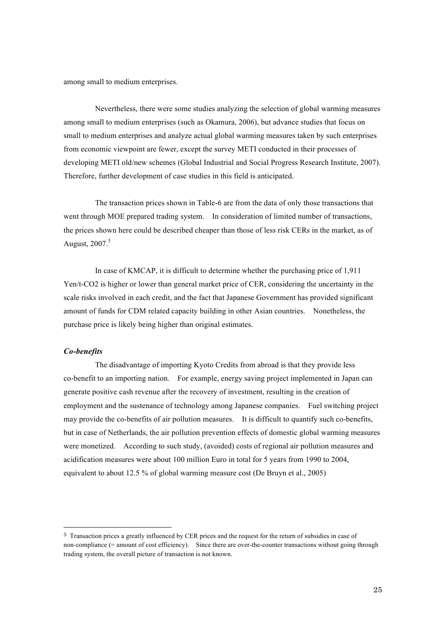among small to medium enterprises.

Nevertheless, there were some studies analyzing the selection of global warming measures among small to medium enterprises (such as Okamura, 2006), but advance studies that focus on small to medium enterprises and analyze actual global warming measures taken by such enterprises from economic viewpoint are fewer, except the survey METI conducted in their processes of developing METI old/new schemes (Global Industrial and Social Progress Research Institute, 2007). Therefore, further development of case studies in this field is anticipated.

The transaction prices shown in Table-6 are from the data of only those transactions that went through MOE prepared trading system. In consideration of limited number of transactions, the prices shown here could be described cheaper than those of less risk CERs in the market, as of August, 2007.<sup>5</sup>

In case of KMCAP, it is difficult to determine whether the purchasing price of 1,911 Yen/t-CO2 is higher or lower than general market price of CER, considering the uncertainty in the scale risks involved in each credit, and the fact that Japanese Government has provided significant amount of funds for CDM related capacity building in other Asian countries. Nonetheless, the purchase price is likely being higher than original estimates.

#### *Co-benefits*

The disadvantage of importing Kyoto Credits from abroad is that they provide less co-benefit to an importing nation. For example, energy saving project implemented in Japan can generate positive cash revenue after the recovery of investment, resulting in the creation of employment and the sustenance of technology among Japanese companies. Fuel switching project may provide the co-benefits of air pollution measures. It is difficult to quantify such co-benefits, but in case of Netherlands, the air pollution prevention effects of domestic global warming measures were monetized. According to such study, (avoided) costs of regional air pollution measures and acidification measures were about 100 million Euro in total for 5 years from 1990 to 2004, equivalent to about 12.5 % of global warming measure cost (De Bruyn et al., 2005)

 <sup>5</sup> Transaction prices a greatly influenced by CER prices and the request for the return of subsidies in case of non-compliance (= amount of cost efficiency). Since there are over-the-counter transactions without going through trading system, the overall picture of transaction is not known.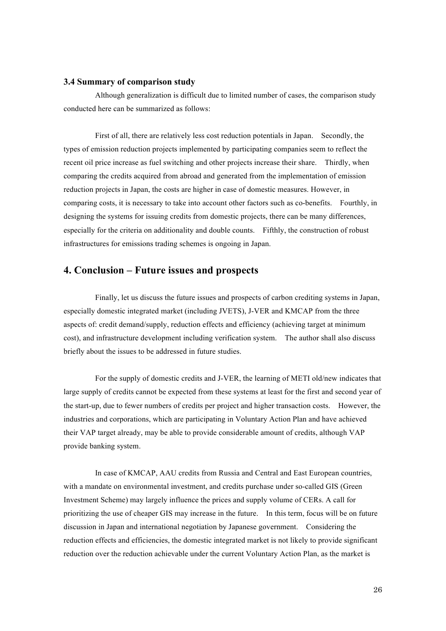## **3.4 Summary of comparison study**

Although generalization is difficult due to limited number of cases, the comparison study conducted here can be summarized as follows:

First of all, there are relatively less cost reduction potentials in Japan. Secondly, the types of emission reduction projects implemented by participating companies seem to reflect the recent oil price increase as fuel switching and other projects increase their share. Thirdly, when comparing the credits acquired from abroad and generated from the implementation of emission reduction projects in Japan, the costs are higher in case of domestic measures. However, in comparing costs, it is necessary to take into account other factors such as co-benefits. Fourthly, in designing the systems for issuing credits from domestic projects, there can be many differences, especially for the criteria on additionality and double counts. Fifthly, the construction of robust infrastructures for emissions trading schemes is ongoing in Japan.

## **4. Conclusion – Future issues and prospects**

Finally, let us discuss the future issues and prospects of carbon crediting systems in Japan, especially domestic integrated market (including JVETS), J-VER and KMCAP from the three aspects of: credit demand/supply, reduction effects and efficiency (achieving target at minimum cost), and infrastructure development including verification system. The author shall also discuss briefly about the issues to be addressed in future studies.

For the supply of domestic credits and J-VER, the learning of METI old/new indicates that large supply of credits cannot be expected from these systems at least for the first and second year of the start-up, due to fewer numbers of credits per project and higher transaction costs. However, the industries and corporations, which are participating in Voluntary Action Plan and have achieved their VAP target already, may be able to provide considerable amount of credits, although VAP provide banking system.

In case of KMCAP, AAU credits from Russia and Central and East European countries, with a mandate on environmental investment, and credits purchase under so-called GIS (Green Investment Scheme) may largely influence the prices and supply volume of CERs. A call for prioritizing the use of cheaper GIS may increase in the future. In this term, focus will be on future discussion in Japan and international negotiation by Japanese government. Considering the reduction effects and efficiencies, the domestic integrated market is not likely to provide significant reduction over the reduction achievable under the current Voluntary Action Plan, as the market is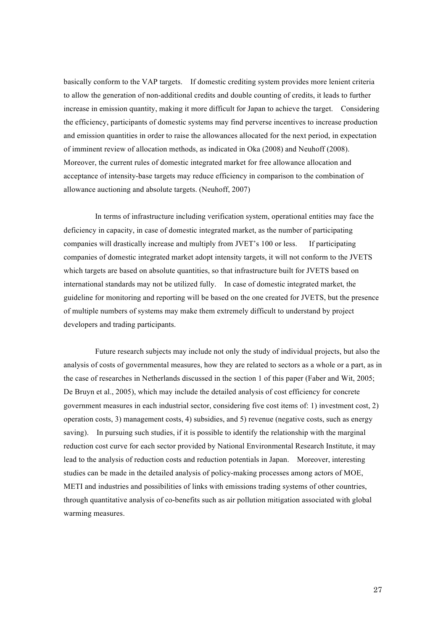basically conform to the VAP targets. If domestic crediting system provides more lenient criteria to allow the generation of non-additional credits and double counting of credits, it leads to further increase in emission quantity, making it more difficult for Japan to achieve the target. Considering the efficiency, participants of domestic systems may find perverse incentives to increase production and emission quantities in order to raise the allowances allocated for the next period, in expectation of imminent review of allocation methods, as indicated in Oka (2008) and Neuhoff (2008). Moreover, the current rules of domestic integrated market for free allowance allocation and acceptance of intensity-base targets may reduce efficiency in comparison to the combination of allowance auctioning and absolute targets. (Neuhoff, 2007)

In terms of infrastructure including verification system, operational entities may face the deficiency in capacity, in case of domestic integrated market, as the number of participating companies will drastically increase and multiply from JVET's 100 or less. If participating companies of domestic integrated market adopt intensity targets, it will not conform to the JVETS which targets are based on absolute quantities, so that infrastructure built for JVETS based on international standards may not be utilized fully. In case of domestic integrated market, the guideline for monitoring and reporting will be based on the one created for JVETS, but the presence of multiple numbers of systems may make them extremely difficult to understand by project developers and trading participants.

Future research subjects may include not only the study of individual projects, but also the analysis of costs of governmental measures, how they are related to sectors as a whole or a part, as in the case of researches in Netherlands discussed in the section 1 of this paper (Faber and Wit, 2005; De Bruyn et al., 2005), which may include the detailed analysis of cost efficiency for concrete government measures in each industrial sector, considering five cost items of: 1) investment cost, 2) operation costs, 3) management costs, 4) subsidies, and 5) revenue (negative costs, such as energy saving). In pursuing such studies, if it is possible to identify the relationship with the marginal reduction cost curve for each sector provided by National Environmental Research Institute, it may lead to the analysis of reduction costs and reduction potentials in Japan. Moreover, interesting studies can be made in the detailed analysis of policy-making processes among actors of MOE, METI and industries and possibilities of links with emissions trading systems of other countries, through quantitative analysis of co-benefits such as air pollution mitigation associated with global warming measures.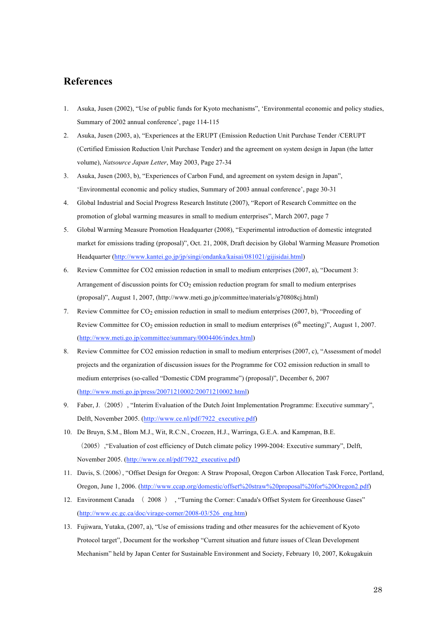## **References**

- 1. Asuka, Jusen (2002), "Use of public funds for Kyoto mechanisms", 'Environmental economic and policy studies, Summary of 2002 annual conference', page 114-115
- 2. Asuka, Jusen (2003, a), "Experiences at the ERUPT (Emission Reduction Unit Purchase Tender /CERUPT (Certified Emission Reduction Unit Purchase Tender) and the agreement on system design in Japan (the latter volume), *Natsource Japan Letter*, May 2003, Page 27-34
- 3. Asuka, Jusen (2003, b), "Experiences of Carbon Fund, and agreement on system design in Japan", 'Environmental economic and policy studies, Summary of 2003 annual conference', page 30-31
- 4. Global Industrial and Social Progress Research Institute (2007), "Report of Research Committee on the promotion of global warming measures in small to medium enterprises", March 2007, page 7
- 5. Global Warming Measure Promotion Headquarter (2008), "Experimental introduction of domestic integrated market for emissions trading (proposal)", Oct. 21, 2008, Draft decision by Global Warming Measure Promotion Headquarter (http://www.kantei.go.jp/jp/singi/ondanka/kaisai/081021/gijisidai.html)
- 6. Review Committee for CO2 emission reduction in small to medium enterprises (2007, a), "Document 3: Arrangement of discussion points for  $CO<sub>2</sub>$  emission reduction program for small to medium enterprises (proposal)", August 1, 2007, (http://www.meti.go.jp/committee/materials/g70808cj.html)
- 7. Review Committee for  $CO<sub>2</sub>$  emission reduction in small to medium enterprises (2007, b), "Proceeding of Review Committee for  $CO_2$  emission reduction in small to medium enterprises ( $6<sup>th</sup>$  meeting)", August 1, 2007. (http://www.meti.go.jp/committee/summary/0004406/index.html)
- 8. Review Committee for CO2 emission reduction in small to medium enterprises (2007, c), "Assessment of model projects and the organization of discussion issues for the Programme for CO2 emission reduction in small to medium enterprises (so-called "Domestic CDM programme") (proposal)", December 6, 2007 (http://www.meti.go.jp/press/20071210002/20071210002.html)
- 9. Faber, J. (2005), "Interim Evaluation of the Dutch Joint Implementation Programme: Executive summary", Delft, November 2005. (http://www.ce.nl/pdf/7922\_executive.pdf)
- 10. De Bruyn, S.M., Blom M.J., Wit, R.C.N., Croezen, H.J., Warringa, G.E.A. and Kampman, B.E. (2005),"Evaluation of cost efficiency of Dutch climate policy 1999-2004: Executive summary", Delft, November 2005. (http://www.ce.nl/pdf/7922\_executive.pdf)
- 11. Davis, S.(2006), "Offset Design for Oregon: A Straw Proposal, Oregon Carbon Allocation Task Force, Portland, Oregon, June 1, 2006. (http://www.ccap.org/domestic/offset%20straw%20proposal%20for%20Oregon2.pdf)
- 12. Environment Canada ( 2008 ), "Turning the Corner: Canada's Offset System for Greenhouse Gases" (http://www.ec.gc.ca/doc/virage-corner/2008-03/526\_eng.htm)
- 13. Fujiwara, Yutaka, (2007, a), "Use of emissions trading and other measures for the achievement of Kyoto Protocol target", Document for the workshop "Current situation and future issues of Clean Development Mechanism" held by Japan Center for Sustainable Environment and Society, February 10, 2007, Kokugakuin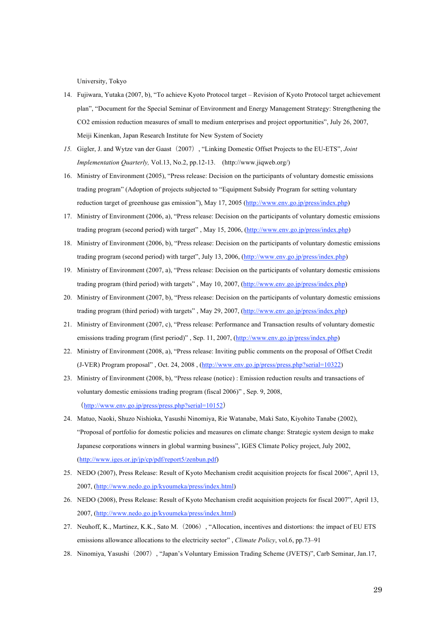University, Tokyo

- 14. Fujiwara, Yutaka (2007, b), "To achieve Kyoto Protocol target Revision of Kyoto Protocol target achievement plan", "Document for the Special Seminar of Environment and Energy Management Strategy: Strengthening the CO2 emission reduction measures of small to medium enterprises and project opportunities", July 26, 2007, Meiji Kinenkan, Japan Research Institute for New System of Society
- *15.* Gigler, J. and Wytze van der Gaast(2007), "Linking Domestic Offset Projects to the EU-ETS", *Joint Implementation Quarterly,* Vol.13, No.2, pp.12-13. (http://www.jiqweb.org/)
- 16. Ministry of Environment (2005), "Press release: Decision on the participants of voluntary domestic emissions trading program" (Adoption of projects subjected to "Equipment Subsidy Program for setting voluntary reduction target of greenhouse gas emission"), May 17, 2005 (http://www.env.go.jp/press/index.php)
- 17. Ministry of Environment (2006, a), "Press release: Decision on the participants of voluntary domestic emissions trading program (second period) with target" , May 15, 2006, (http://www.env.go.jp/press/index.php)
- 18. Ministry of Environment (2006, b), "Press release: Decision on the participants of voluntary domestic emissions trading program (second period) with target", July 13, 2006, (http://www.env.go.jp/press/index.php)
- 19. Ministry of Environment (2007, a), "Press release: Decision on the participants of voluntary domestic emissions trading program (third period) with targets" , May 10, 2007, (http://www.env.go.jp/press/index.php)
- 20. Ministry of Environment (2007, b), "Press release: Decision on the participants of voluntary domestic emissions trading program (third period) with targets" , May 29, 2007, (http://www.env.go.jp/press/index.php)
- 21. Ministry of Environment (2007, c), "Press release: Performance and Transaction results of voluntary domestic emissions trading program (first period)" , Sep. 11, 2007, (http://www.env.go.jp/press/index.php)
- 22. Ministry of Environment (2008, a), "Press release: Inviting public comments on the proposal of Offset Credit (J-VER) Program proposal" , Oct. 24, 2008 , (http://www.env.go.jp/press/press.php?serial=10322)
- 23. Ministry of Environment (2008, b), "Press release (notice) : Emission reduction results and transactions of voluntary domestic emissions trading program (fiscal 2006)" , Sep. 9, 2008, (http://www.env.go.jp/press/press.php?serial=10152)
- 24. Matuo, Naoki, Shuzo Nishioka, Yasushi Ninomiya, Rie Watanabe, Maki Sato, Kiyohito Tanabe (2002), "Proposal of portfolio for domestic policies and measures on climate change: Strategic system design to make Japanese corporations winners in global warming business", IGES Climate Policy project, July 2002, (http://www.iges.or.jp/jp/cp/pdf/report5/zenbun.pdf)
- 25. NEDO (2007), Press Release: Result of Kyoto Mechanism credit acquisition projects for fiscal 2006", April 13, 2007, (http://www.nedo.go.jp/kyoumeka/press/index.html)
- 26. NEDO (2008), Press Release: Result of Kyoto Mechanism credit acquisition projects for fiscal 2007", April 13, 2007, (http://www.nedo.go.jp/kyoumeka/press/index.html)
- 27. Neuhoff, K., Martinez, K.K., Sato M. (2006), "Allocation, incentives and distortions: the impact of EU ETS emissions allowance allocations to the electricity sector" , *Climate Policy*, vol.6, pp.73–91
- 28. Ninomiya, Yasushi(2007), "Japan's Voluntary Emission Trading Scheme (JVETS)", Carb Seminar, Jan.17,